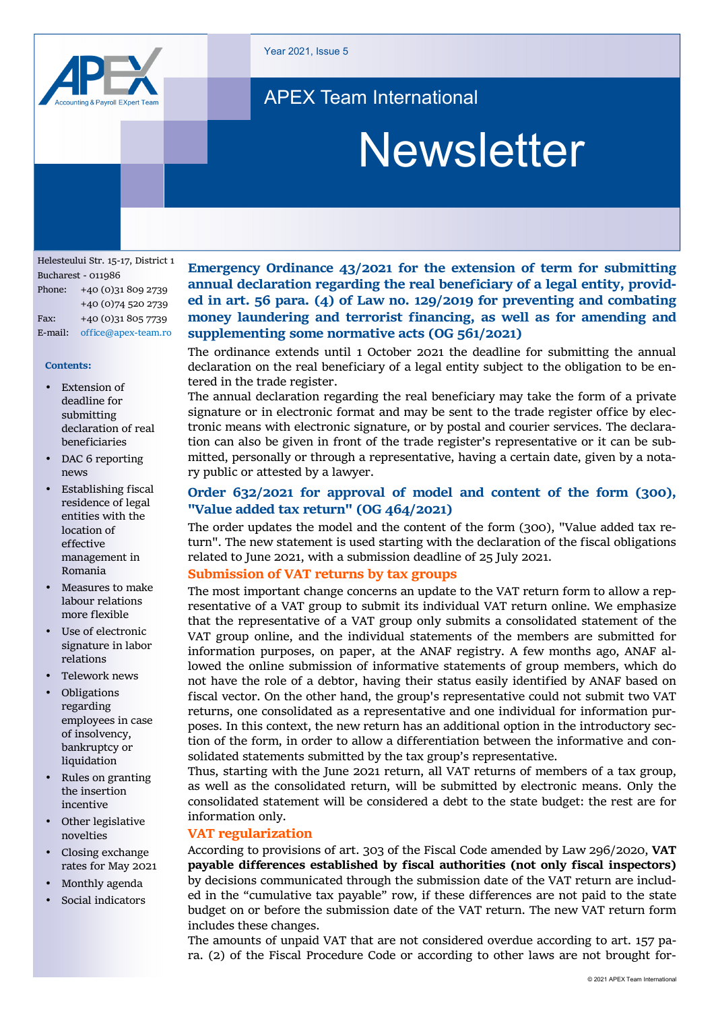

Year 2021, Issue 5

# APEX Team International

# **Newsletter**

Helesteului Str. 15‐17, District 1 Bucharest ‐ 011986 Phone: +40 (0)31 809 2739 +40 (0)74 520 2739 Fax: +40 (0)31 805 7739 E‐mail: office@apex‐team.ro

#### **Contents:**

- **Extension of** deadline for submitting declaration of real beneficiaries
- DAC 6 reporting news
- Establishing fiscal residence of legal entities with the location of effective management in Romania
- Measures to make labour relations more flexible
- Use of electronic signature in labor relations
- Telework news
- Obligations regarding employees in case of insolvency, bankruptcy or liquidation
- Rules on granting the insertion incentive
- Other legislative novelties
- Closing exchange rates for May 2021
- Monthly agenda
- Social indicators

**Emergency Ordinance 43/2021 for the extension of term for submitting annual declaration regarding the real beneficiary of a legal entity, provid‐ ed in art. 56 para. (4) of Law no. 129/2019 for preventing and combating money laundering and terrorist financing, as well as for amending and supplementing some normative acts (OG 561/2021)** 

The ordinance extends until 1 October 2021 the deadline for submitting the annual declaration on the real beneficiary of a legal entity subject to the obligation to be en‐ tered in the trade register.

The annual declaration regarding the real beneficiary may take the form of a private signature or in electronic format and may be sent to the trade register office by electronic means with electronic signature, or by postal and courier services. The declara‐ tion can also be given in front of the trade register's representative or it can be sub‐ mitted, personally or through a representative, having a certain date, given by a nota‐ ry public or attested by a lawyer.

# **Order 632/2021 for approval of model and content of the form (300), "Value added tax return" (OG 464/2021)**

The order updates the model and the content of the form (300), "Value added tax re‐ turn". The new statement is used starting with the declaration of the fiscal obligations related to June 2021, with a submission deadline of 25 July 2021.

# **Submission of VAT returns by tax groups**

The most important change concerns an update to the VAT return form to allow a rep– resentative of a VAT group to submit its individual VAT return online. We emphasize that the representative of a VAT group only submits a consolidated statement of the VAT group online, and the individual statements of the members are submitted for information purposes, on paper, at the ANAF registry. A few months ago, ANAF al‐ lowed the online submission of informative statements of group members, which do not have the role of a debtor, having their status easily identified by ANAF based on fiscal vector. On the other hand, the group's representative could not submit two VAT returns, one consolidated as a representative and one individual for information pur‐ poses. In this context, the new return has an additional option in the introductory section of the form, in order to allow a differentiation between the informative and consolidated statements submitted by the tax group's representative.

Thus, starting with the June 2021 return, all VAT returns of members of a tax group, as well as the consolidated return, will be submitted by electronic means. Only the consolidated statement will be considered a debt to the state budget: the rest are for information only.

#### **VAT regularization**

According to provisions of art. 303 of the Fiscal Code amended by Law 296/2020, **VAT payable differences established by fiscal authorities (not only fiscal inspectors)** by decisions communicated through the submission date of the VAT return are includ‐ ed in the "cumulative tax payable" row, if these differences are not paid to the state budget on or before the submission date of the VAT return. The new VAT return form includes these changes.

The amounts of unpaid VAT that are not considered overdue according to art. 157 para. (2) of the Fiscal Procedure Code or according to other laws are not brought for‐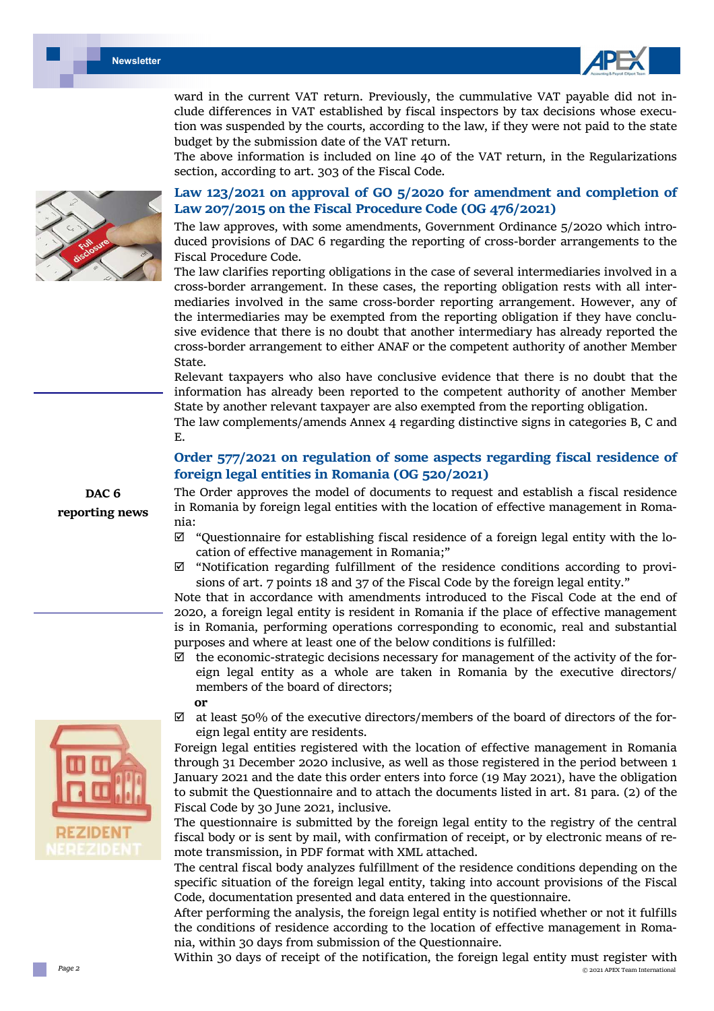



ward in the current VAT return. Previously, the cummulative VAT payable did not include differences in VAT established by fiscal inspectors by tax decisions whose execution was suspended by the courts, according to the law, if they were not paid to the state budget by the submission date of the VAT return.

The above information is included on line 40 of the VAT return, in the Regularizations section, according to art. 303 of the Fiscal Code.

# **Law 123/2021 on approval of GO 5/2020 for amendment and completion of Law 207/2015 on the Fiscal Procedure Code (OG 476/2021)**

The law approves, with some amendments, Government Ordinance 5/2020 which introduced provisions of DAC 6 regarding the reporting of cross‐border arrangements to the Fiscal Procedure Code.

The law clarifies reporting obligations in the case of several intermediaries involved in a cross‐border arrangement. In these cases, the reporting obligation rests with all inter‐ mediaries involved in the same cross‐border reporting arrangement. However, any of the intermediaries may be exempted from the reporting obligation if they have conclu‐ sive evidence that there is no doubt that another intermediary has already reported the cross‐border arrangement to either ANAF or the competent authority of another Member State.

Relevant taxpayers who also have conclusive evidence that there is no doubt that the information has already been reported to the competent authority of another Member State by another relevant taxpayer are also exempted from the reporting obligation.

The law complements/amends Annex 4 regarding distinctive signs in categories B, C and E.

# **Order 577/2021 on regulation of some aspects regarding fiscal residence of foreign legal entities in Romania (OG 520/2021)**

The Order approves the model of documents to request and establish a fiscal residence in Romania by foreign legal entities with the location of effective management in Romania:

- $\boxtimes$  "Questionnaire for establishing fiscal residence of a foreign legal entity with the location of effective management in Romania;"
- $\boxtimes$  "Notification regarding fulfillment of the residence conditions according to provisions of art. 7 points 18 and 37 of the Fiscal Code by the foreign legal entity."

Note that in accordance with amendments introduced to the Fiscal Code at the end of 2020, a foreign legal entity is resident in Romania if the place of effective management is in Romania, performing operations corresponding to economic, real and substantial purposes and where at least one of the below conditions is fulfilled:

- $\boxtimes$  the economic-strategic decisions necessary for management of the activity of the foreign legal entity as a whole are taken in Romania by the executive directors/ members of the board of directors;
	- **or**
- $\boxtimes$  at least 50% of the executive directors/members of the board of directors of the foreign legal entity are residents.

Foreign legal entities registered with the location of effective management in Romania through 31 December 2020 inclusive, as well as those registered in the period between 1 January 2021 and the date this order enters into force (19 May 2021), have the obligation to submit the Questionnaire and to attach the documents listed in art. 81 para. (2) of the Fiscal Code by 30 June 2021, inclusive.

The questionnaire is submitted by the foreign legal entity to the registry of the central fiscal body or is sent by mail, with confirmation of receipt, or by electronic means of re‐ mote transmission, in PDF format with XML attached.

The central fiscal body analyzes fulfillment of the residence conditions depending on the specific situation of the foreign legal entity, taking into account provisions of the Fiscal Code, documentation presented and data entered in the questionnaire.

After performing the analysis, the foreign legal entity is notified whether or not it fulfills the conditions of residence according to the location of effective management in Romania, within 30 days from submission of the Questionnaire.

 © 2021 APEX Team International Within 30 days of receipt of the notification, the foreign legal entity must register with





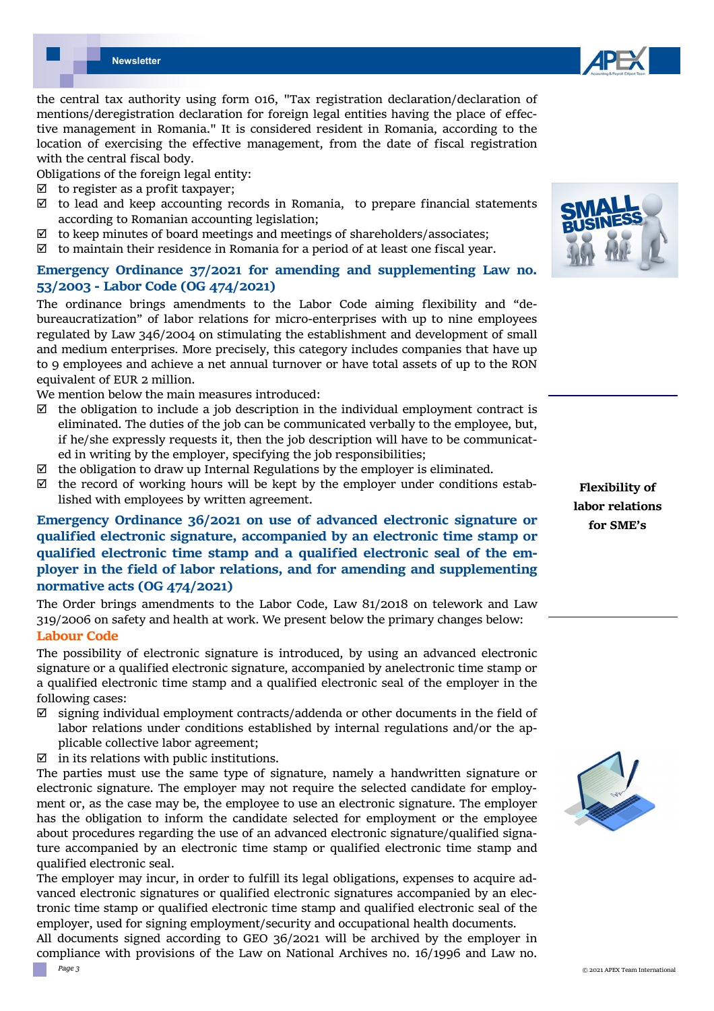

Obligations of the foreign legal entity:

- $\boxtimes$  to register as a profit taxpayer;
- $\boxtimes$  to lead and keep accounting records in Romania, to prepare financial statements according to Romanian accounting legislation;
- $\boxtimes$  to keep minutes of board meetings and meetings of shareholders/associates;
- $\boxtimes$  to maintain their residence in Romania for a period of at least one fiscal year.

# **Emergency Ordinance 37/2021 for amending and supplementing Law no. 53/2003 ‐ Labor Code (OG 474/2021)**

The ordinance brings amendments to the Labor Code aiming flexibility and "debureaucratization" of labor relations for micro‐enterprises with up to nine employees regulated by Law 346/2004 on stimulating the establishment and development of small and medium enterprises. More precisely, this category includes companies that have up to 9 employees and achieve a net annual turnover or have total assets of up to the RON equivalent of EUR 2 million.

We mention below the main measures introduced:

- $\boxtimes$  the obligation to include a job description in the individual employment contract is eliminated. The duties of the job can be communicated verbally to the employee, but, if he/she expressly requests it, then the job description will have to be communicated in writing by the employer, specifying the job responsibilities;
- $\boxtimes$  the obligation to draw up Internal Regulations by the employer is eliminated.
- $\boxtimes$  the record of working hours will be kept by the employer under conditions established with employees by written agreement.

# **Emergency Ordinance 36/2021 on use of advanced electronic signature or qualified electronic signature, accompanied by an electronic time stamp or qualified electronic time stamp and a qualified electronic seal of the em‐ ployer in the field of labor relations, and for amending and supplementing normative acts (OG 474/2021)**

The Order brings amendments to the Labor Code, Law 81/2018 on telework and Law 319/2006 on safety and health at work. We present below the primary changes below:

# **Labour Code**

The possibility of electronic signature is introduced, by using an advanced electronic signature or a qualified electronic signature, accompanied by anelectronic time stamp or a qualified electronic time stamp and a qualified electronic seal of the employer in the following cases:

- $\boxtimes$  signing individual employment contracts/addenda or other documents in the field of labor relations under conditions established by internal regulations and/or the ap‐ plicable collective labor agreement;
- $\triangledown$  in its relations with public institutions.

The parties must use the same type of signature, namely a handwritten signature or electronic signature. The employer may not require the selected candidate for employ‐ ment or, as the case may be, the employee to use an electronic signature. The employer has the obligation to inform the candidate selected for employment or the employee about procedures regarding the use of an advanced electronic signature/qualified signa‐ ture accompanied by an electronic time stamp or qualified electronic time stamp and qualified electronic seal.

The employer may incur, in order to fulfill its legal obligations, expenses to acquire ad‐ vanced electronic signatures or qualified electronic signatures accompanied by an elec‐ tronic time stamp or qualified electronic time stamp and qualified electronic seal of the employer, used for signing employment/security and occupational health documents.

All documents signed according to GEO 36/2021 will be archived by the employer in compliance with provisions of the Law on National Archives no. 16/1996 and Law no.



**Flexibility of labor relations for SME's** 

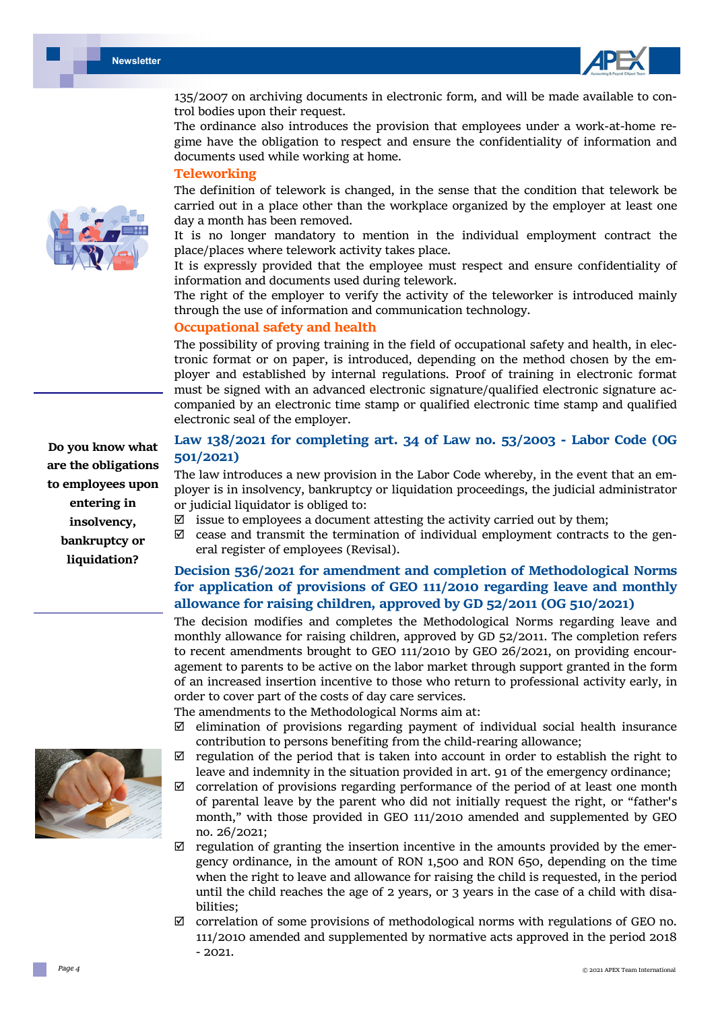

135/2007 on archiving documents in electronic form, and will be made available to con‐ trol bodies upon their request.

The ordinance also introduces the provision that employees under a work-at-home regime have the obligation to respect and ensure the confidentiality of information and documents used while working at home.

#### **Teleworking**

The definition of telework is changed, in the sense that the condition that telework be carried out in a place other than the workplace organized by the employer at least one day a month has been removed.

It is no longer mandatory to mention in the individual employment contract the place/places where telework activity takes place.

It is expressly provided that the employee must respect and ensure confidentiality of information and documents used during telework.

The right of the employer to verify the activity of the teleworker is introduced mainly through the use of information and communication technology.

#### **Occupational safety and health**

The possibility of proving training in the field of occupational safety and health, in electronic format or on paper, is introduced, depending on the method chosen by the employer and established by internal regulations. Proof of training in electronic format must be signed with an advanced electronic signature/qualified electronic signature accompanied by an electronic time stamp or qualified electronic time stamp and qualified electronic seal of the employer.

# **Law 138/2021 for completing art. 34 of Law no. 53/2003 ‐ Labor Code (OG 501/2021)**

The law introduces a new provision in the Labor Code whereby, in the event that an employer is in insolvency, bankruptcy or liquidation proceedings, the judicial administrator or judicial liquidator is obliged to:

- $\boxtimes$  issue to employees a document attesting the activity carried out by them;
- $\boxtimes$  cease and transmit the termination of individual employment contracts to the general register of employees (Revisal).

# **Decision 536/2021 for amendment and completion of Methodological Norms for application of provisions of GEO 111/2010 regarding leave and monthly allowance for raising children, approved by GD 52/2011 (OG 510/2021)**

The decision modifies and completes the Methodological Norms regarding leave and monthly allowance for raising children, approved by GD 52/2011. The completion refers to recent amendments brought to GEO 111/2010 by GEO 26/2021, on providing encouragement to parents to be active on the labor market through support granted in the form of an increased insertion incentive to those who return to professional activity early, in order to cover part of the costs of day care services.

The amendments to the Methodological Norms aim at:

- $\boxtimes$  elimination of provisions regarding payment of individual social health insurance contribution to persons benefiting from the child‐rearing allowance;
- $\boxtimes$  regulation of the period that is taken into account in order to establish the right to leave and indemnity in the situation provided in art. 91 of the emergency ordinance;
- $\boxtimes$  correlation of provisions regarding performance of the period of at least one month of parental leave by the parent who did not initially request the right, or "father's month," with those provided in GEO 111/2010 amended and supplemented by GEO no. 26/2021;
- $\boxtimes$  regulation of granting the insertion incentive in the amounts provided by the emergency ordinance, in the amount of RON 1,500 and RON 650, depending on the time when the right to leave and allowance for raising the child is requested, in the period until the child reaches the age of 2 years, or 3 years in the case of a child with disabilities;
- $\boxtimes$  correlation of some provisions of methodological norms with regulations of GEO no. 111/2010 amended and supplemented by normative acts approved in the period 2018  $-2021.$



**Do you know what are the obligations to employees upon entering in insolvency, bankruptcy or liquidation?** 

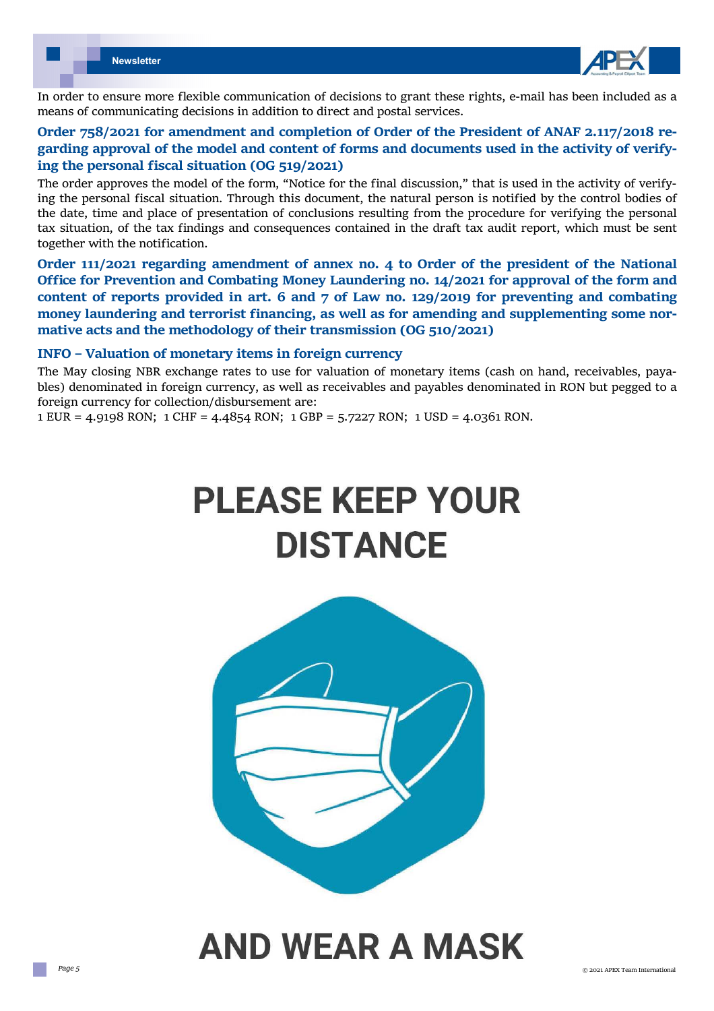

In order to ensure more flexible communication of decisions to grant these rights, e-mail has been included as a means of communicating decisions in addition to direct and postal services.

# **Order 758/2021 for amendment and completion of Order of the President of ANAF 2.117/2018 re‐ garding approval of the model and content of forms and documents used in the activity of verify‐ ing the personal fiscal situation (OG 519/2021)**

The order approves the model of the form, "Notice for the final discussion," that is used in the activity of verifying the personal fiscal situation. Through this document, the natural person is notified by the control bodies of the date, time and place of presentation of conclusions resulting from the procedure for verifying the personal tax situation, of the tax findings and consequences contained in the draft tax audit report, which must be sent together with the notification.

**Order 111/2021 regarding amendment of annex no. 4 to Order of the president of the National Office for Prevention and Combating Money Laundering no. 14/2021 for approval of the form and content of reports provided in art. 6 and 7 of Law no. 129/2019 for preventing and combating money laundering and terrorist financing, as well as for amending and supplementing some nor‐ mative acts and the methodology of their transmission (OG 510/2021)** 

### **INFO – Valuation of monetary items in foreign currency**

The May closing NBR exchange rates to use for valuation of monetary items (cash on hand, receivables, payables) denominated in foreign currency, as well as receivables and payables denominated in RON but pegged to a foreign currency for collection/disbursement are:

1 EUR = 4.9198 RON; 1 CHF = 4.4854 RON; 1 GBP = 5.7227 RON; 1 USD = 4.0361 RON.

# **PLEASE KEEP YOUR DISTANCE**



# **AND WEAR A MASK**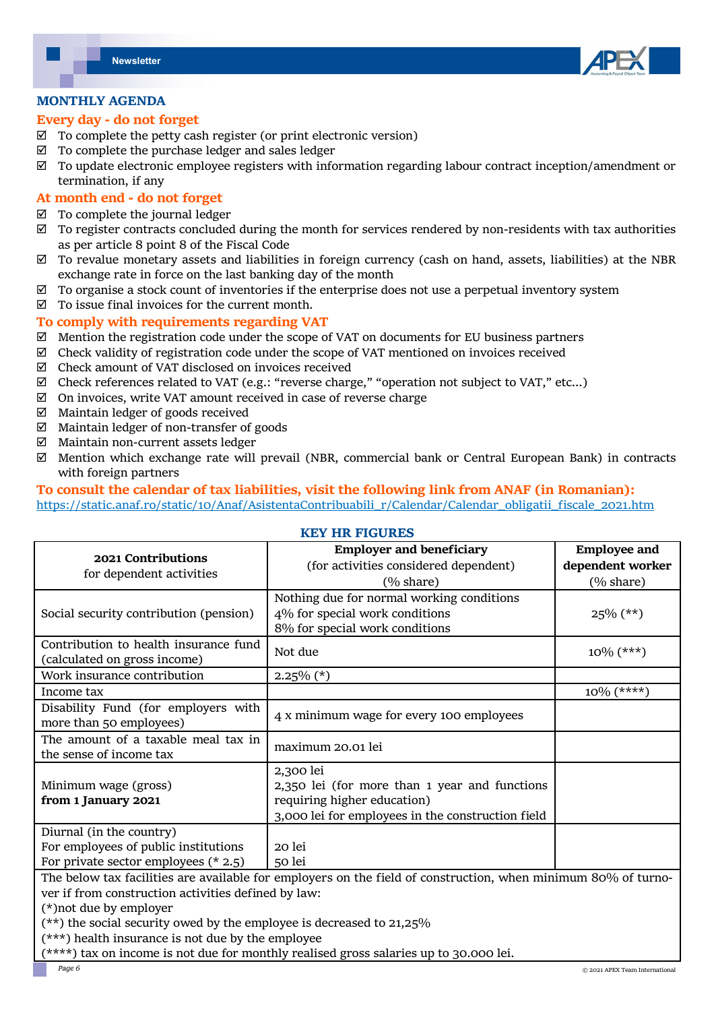

### **MONTHLY AGENDA**

#### **Every day ‐ do not forget**

- $\boxtimes$  To complete the petty cash register (or print electronic version)
- $\boxtimes$  To complete the purchase ledger and sales ledger
- $\boxtimes$  To update electronic employee registers with information regarding labour contract inception/amendment or termination, if any

# **At month end ‐ do not forget**

- $\boxtimes$  To complete the journal ledger
- To register contracts concluded during the month for services rendered by non‐residents with tax authorities as per article 8 point 8 of the Fiscal Code
- $\boxtimes$  To revalue monetary assets and liabilities in foreign currency (cash on hand, assets, liabilities) at the NBR exchange rate in force on the last banking day of the month
- $\boxtimes$  To organise a stock count of inventories if the enterprise does not use a perpetual inventory system
- $\boxtimes$  To issue final invoices for the current month.

# **To comply with requirements regarding VAT**

- $\boxtimes$  Mention the registration code under the scope of VAT on documents for EU business partners
- $\boxtimes$  Check validity of registration code under the scope of VAT mentioned on invoices received
- $\boxtimes$  Check amount of VAT disclosed on invoices received
- $\boxtimes$  Check references related to VAT (e.g.: "reverse charge," "operation not subject to VAT," etc...)
- $\boxtimes$  On invoices, write VAT amount received in case of reverse charge
- $\boxtimes$  Maintain ledger of goods received
- $\boxtimes$  Maintain ledger of non-transfer of goods
- Maintain non‐current assets ledger
- $\boxtimes$  Mention which exchange rate will prevail (NBR, commercial bank or Central European Bank) in contracts with foreign partners

### **To consult the calendar of tax liabilities, visit the following link from ANAF (in Romanian):**  https://static.anaf.ro/static/10/Anaf/AsistentaContribuabili\_r/Calendar/Calendar\_obligatii\_fiscale\_2021.htm

### **KEY HR FIGURES**

| 2021 Contributions<br>for dependent activities                                                                | <b>Employer and beneficiary</b>                   | <b>Employee and</b>  |
|---------------------------------------------------------------------------------------------------------------|---------------------------------------------------|----------------------|
|                                                                                                               | (for activities considered dependent)             | dependent worker     |
|                                                                                                               | $(\% \text{ share})$                              | $(\% \text{ share})$ |
| Social security contribution (pension)                                                                        | Nothing due for normal working conditions         |                      |
|                                                                                                               | 4% for special work conditions                    | $25\%$ (**)          |
|                                                                                                               | 8% for special work conditions                    |                      |
| Contribution to health insurance fund                                                                         | Not due                                           | $10\%$ (***)         |
| (calculated on gross income)                                                                                  |                                                   |                      |
| Work insurance contribution                                                                                   | $2.25\%$ (*)                                      |                      |
| Income tax                                                                                                    |                                                   | $10\%$ (****)        |
| Disability Fund (for employers with                                                                           | 4 x minimum wage for every 100 employees          |                      |
| more than 50 employees)                                                                                       |                                                   |                      |
| The amount of a taxable meal tax in                                                                           | maximum 20.01 lei                                 |                      |
| the sense of income tax                                                                                       |                                                   |                      |
|                                                                                                               | 2,300 lei                                         |                      |
| Minimum wage (gross)                                                                                          | 2,350 lei (for more than 1 year and functions     |                      |
| from 1 January 2021                                                                                           | requiring higher education)                       |                      |
|                                                                                                               | 3,000 lei for employees in the construction field |                      |
| Diurnal (in the country)                                                                                      |                                                   |                      |
| For employees of public institutions                                                                          | 20 lei                                            |                      |
| For private sector employees $(* 2.5)$                                                                        | 50 lei                                            |                      |
| The below tax facilities are available for employers on the field of construction, when minimum 80% of turno- |                                                   |                      |
| ver if from construction activities defined by law:                                                           |                                                   |                      |
| (*) not due by employer                                                                                       |                                                   |                      |
| $(\star \star)$ the social security owed by the employee is decreased to 21 $25\%$                            |                                                   |                      |

 $\mathrm{d}$  security owed by the employee is decreased to 21,25%:

(\*\*\*) health insurance is not due by the employee

\*\*\*\*) tax on income is not due for monthly realised gross salaries up to 30.000 lei.